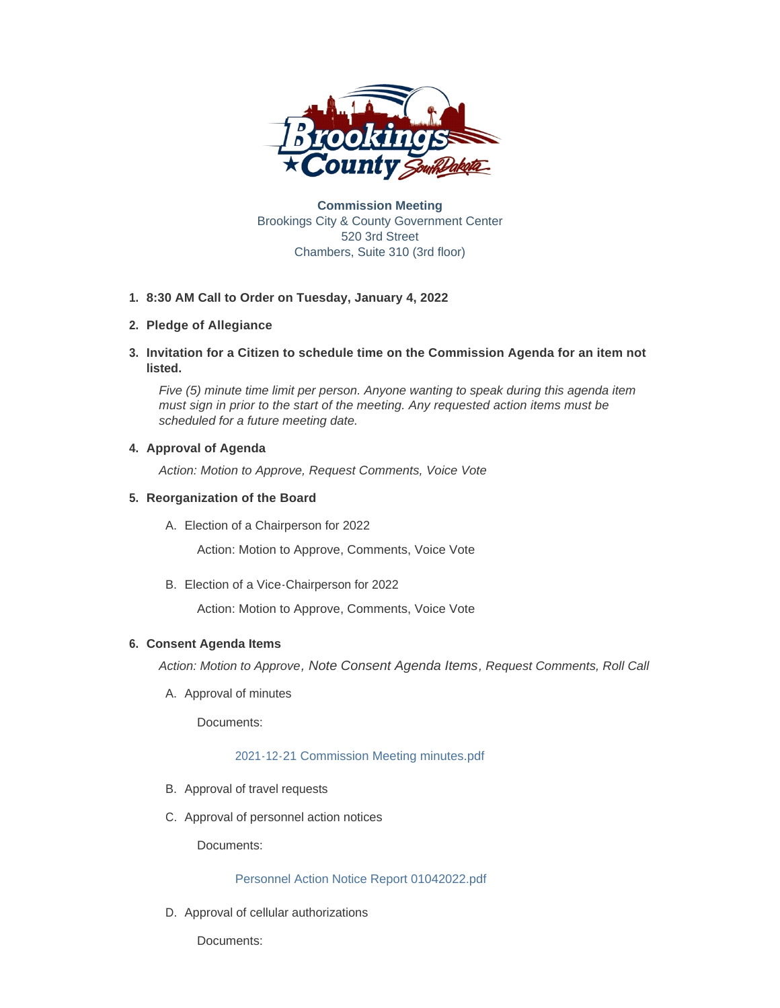

**Commission Meeting** Brookings City & County Government Center 520 3rd Street Chambers, Suite 310 (3rd floor)

## **8:30 AM Call to Order on Tuesday, January 4, 2022 1.**

# **Pledge of Allegiance 2.**

**Invitation for a Citizen to schedule time on the Commission Agenda for an item not 3. listed.**

*Five (5) minute time limit per person. Anyone wanting to speak during this agenda item must sign in prior to the start of the meeting. Any requested action items must be scheduled for a future meeting date.* 

# **4. Approval of Agenda**

*Action: Motion to Approve, Request Comments, Voice Vote* 

# **Reorganization of the Board 5.**

Election of a Chairperson for 2022 A.

Action: Motion to Approve, Comments, Voice Vote

Election of a Vice-Chairperson for 2022 B.

Action: Motion to Approve, Comments, Voice Vote

# **Consent Agenda Items 6.**

*Action: Motion to Approve, Note Consent Agenda Items, Request Comments, Roll Call* 

A. Approval of minutes

Documents:

## [2021-12-21 Commission Meeting minutes.pdf](http://sd-brookingscounty2.civicplus.com/AgendaCenter/ViewFile/Item/11688?fileID=9874)

- B. Approval of travel requests
- C. Approval of personnel action notices

Documents:

## [Personnel Action Notice Report 01042022.pdf](http://sd-brookingscounty2.civicplus.com/AgendaCenter/ViewFile/Item/11686?fileID=9850)

D. Approval of cellular authorizations

Documents: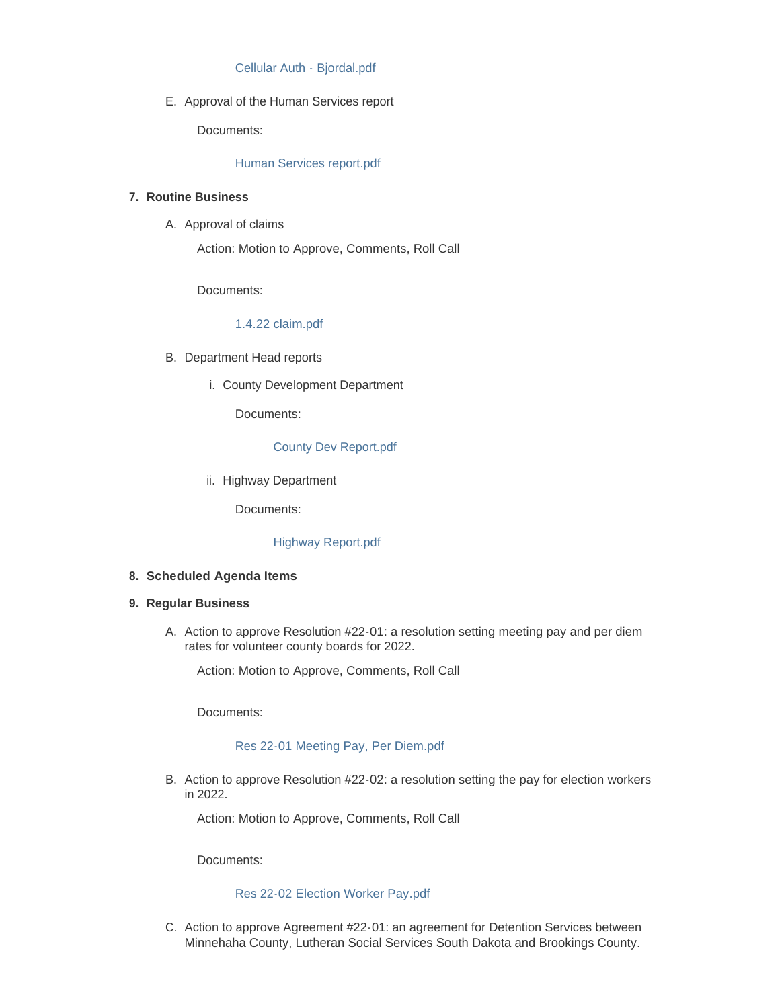### [Cellular Auth - Bjordal.pdf](http://sd-brookingscounty2.civicplus.com/AgendaCenter/ViewFile/Item/11720?fileID=9873)

E. Approval of the Human Services report

Documents:

### [Human Services report.pdf](http://sd-brookingscounty2.civicplus.com/AgendaCenter/ViewFile/Item/11719?fileID=9866)

## **Routine Business 7.**

A. Approval of claims

Action: Motion to Approve, Comments, Roll Call

Documents:

### [1.4.22 claim.pdf](http://sd-brookingscounty2.civicplus.com/AgendaCenter/ViewFile/Item/11687?fileID=9851)

- B. Department Head reports
	- i. County Development Department

Documents:

### [County Dev Report.pdf](http://sd-brookingscounty2.civicplus.com/AgendaCenter/ViewFile/Item/11685?fileID=9849)

ii. Highway Department

Documents:

### [Highway Report.pdf](http://sd-brookingscounty2.civicplus.com/AgendaCenter/ViewFile/Item/11690?fileID=9853)

#### **Scheduled Agenda Items 8.**

### **Regular Business 9.**

A. Action to approve Resolution #22-01: a resolution setting meeting pay and per diem rates for volunteer county boards for 2022.

Action: Motion to Approve, Comments, Roll Call

Documents:

#### [Res 22-01 Meeting Pay, Per Diem.pdf](http://sd-brookingscounty2.civicplus.com/AgendaCenter/ViewFile/Item/11691?fileID=9854)

B. Action to approve Resolution #22-02: a resolution setting the pay for election workers in 2022.

Action: Motion to Approve, Comments, Roll Call

Documents:

#### [Res 22-02 Election Worker Pay.pdf](http://sd-brookingscounty2.civicplus.com/AgendaCenter/ViewFile/Item/11692?fileID=9855)

C. Action to approve Agreement #22-01: an agreement for Detention Services between Minnehaha County, Lutheran Social Services South Dakota and Brookings County.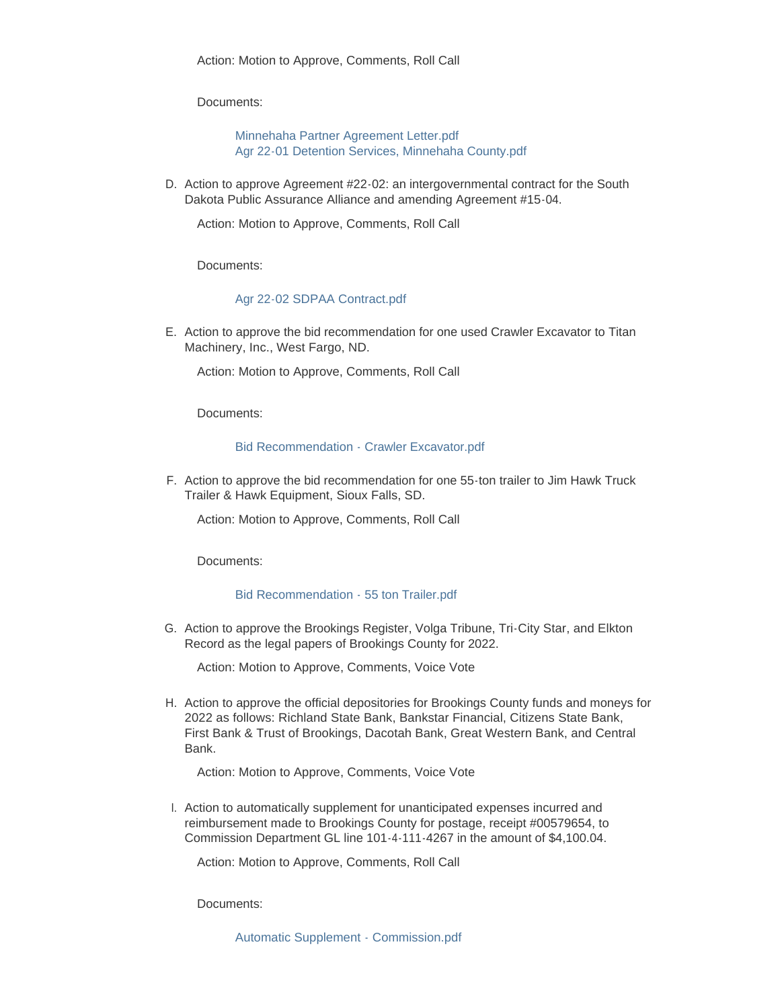Documents:

[Minnehaha Partner Agreement Letter.pdf](http://sd-brookingscounty2.civicplus.com/AgendaCenter/ViewFile/Item/11693?fileID=9856) [Agr 22-01 Detention Services, Minnehaha County.pdf](http://sd-brookingscounty2.civicplus.com/AgendaCenter/ViewFile/Item/11693?fileID=9857)

D. Action to approve Agreement #22-02: an intergovernmental contract for the South Dakota Public Assurance Alliance and amending Agreement #15-04.

Action: Motion to Approve, Comments, Roll Call

Documents:

### [Agr 22-02 SDPAA Contract.pdf](http://sd-brookingscounty2.civicplus.com/AgendaCenter/ViewFile/Item/11694?fileID=9858)

E. Action to approve the bid recommendation for one used Crawler Excavator to Titan Machinery, Inc., West Fargo, ND.

Action: Motion to Approve, Comments, Roll Call

Documents:

#### [Bid Recommendation - Crawler Excavator.pdf](http://sd-brookingscounty2.civicplus.com/AgendaCenter/ViewFile/Item/11695?fileID=9859)

F. Action to approve the bid recommendation for one 55-ton trailer to Jim Hawk Truck Trailer & Hawk Equipment, Sioux Falls, SD.

Action: Motion to Approve, Comments, Roll Call

Documents:

### [Bid Recommendation - 55 ton Trailer.pdf](http://sd-brookingscounty2.civicplus.com/AgendaCenter/ViewFile/Item/11696?fileID=9860)

G. Action to approve the Brookings Register, Volga Tribune, Tri-City Star, and Elkton Record as the legal papers of Brookings County for 2022.

Action: Motion to Approve, Comments, Voice Vote

Action to approve the official depositories for Brookings County funds and moneys for H. 2022 as follows: Richland State Bank, Bankstar Financial, Citizens State Bank, First Bank & Trust of Brookings, Dacotah Bank, Great Western Bank, and Central Bank.

Action: Motion to Approve, Comments, Voice Vote

I. Action to automatically supplement for unanticipated expenses incurred and reimbursement made to Brookings County for postage, receipt #00579654, to Commission Department GL line 101-4-111-4267 in the amount of \$4,100.04.

Action: Motion to Approve, Comments, Roll Call

Documents: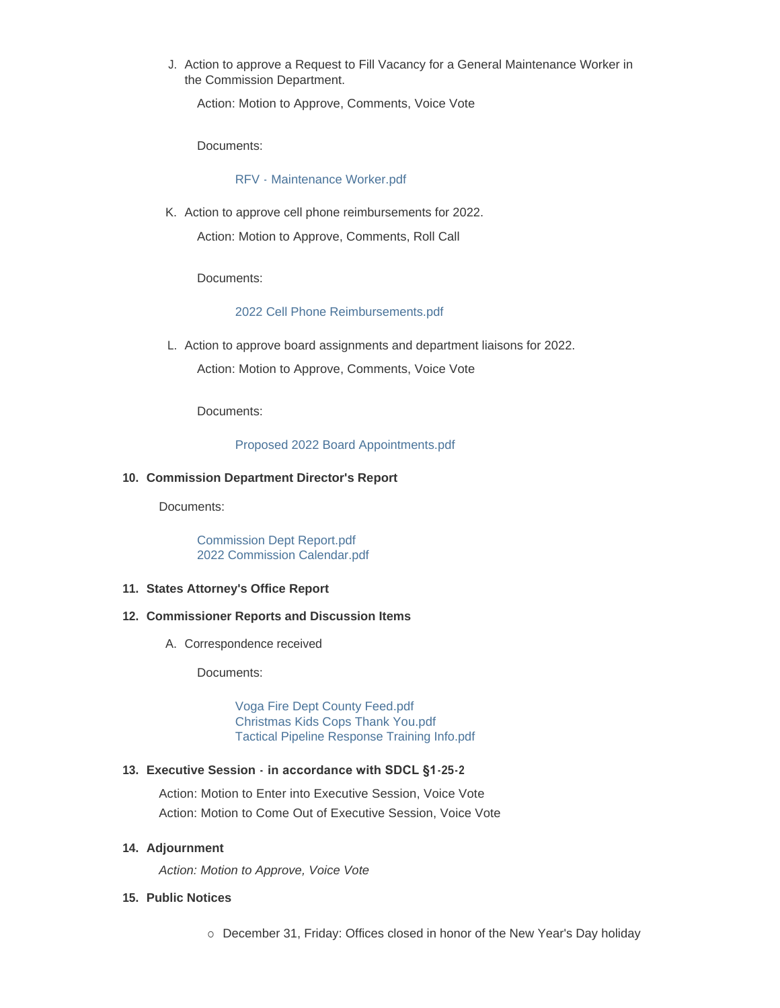J. Action to approve a Request to Fill Vacancy for a General Maintenance Worker in the Commission Department.

Action: Motion to Approve, Comments, Voice Vote

Documents:

[RFV - Maintenance Worker.pdf](http://sd-brookingscounty2.civicplus.com/AgendaCenter/ViewFile/Item/11700?fileID=9862)

K. Action to approve cell phone reimbursements for 2022.

Action: Motion to Approve, Comments, Roll Call

Documents:

## [2022 Cell Phone Reimbursements.pdf](http://sd-brookingscounty2.civicplus.com/AgendaCenter/ViewFile/Item/11701?fileID=9863)

L. Action to approve board assignments and department liaisons for 2022.

Action: Motion to Approve, Comments, Voice Vote

Documents:

[Proposed 2022 Board Appointments.pdf](http://sd-brookingscounty2.civicplus.com/AgendaCenter/ViewFile/Item/11702?fileID=9864)

## **Commission Department Director's Report 10.**

Documents:

[Commission Dept Report.pdf](http://sd-brookingscounty2.civicplus.com/AgendaCenter/ViewFile/Item/11683?fileID=9845) [2022 Commission Calendar.pdf](http://sd-brookingscounty2.civicplus.com/AgendaCenter/ViewFile/Item/11683?fileID=9846)

## **States Attorney's Office Report 11.**

## **Commissioner Reports and Discussion Items 12.**

A. Correspondence received

Documents:

[Voga Fire Dept County Feed.pdf](http://sd-brookingscounty2.civicplus.com/AgendaCenter/ViewFile/Item/11684?fileID=9865) [Christmas Kids Cops Thank You.pdf](http://sd-brookingscounty2.civicplus.com/AgendaCenter/ViewFile/Item/11684?fileID=9847) [Tactical Pipeline Response Training Info.pdf](http://sd-brookingscounty2.civicplus.com/AgendaCenter/ViewFile/Item/11684?fileID=9848)

## **Executive Session - in accordance with SDCL §1-25-2 13.**

Action: Motion to Enter into Executive Session, Voice Vote Action: Motion to Come Out of Executive Session, Voice Vote

#### **Adjournment 14.**

*Action: Motion to Approve, Voice Vote* 

#### **Public Notices 15.**

o December 31, Friday: Offices closed in honor of the New Year's Day holiday